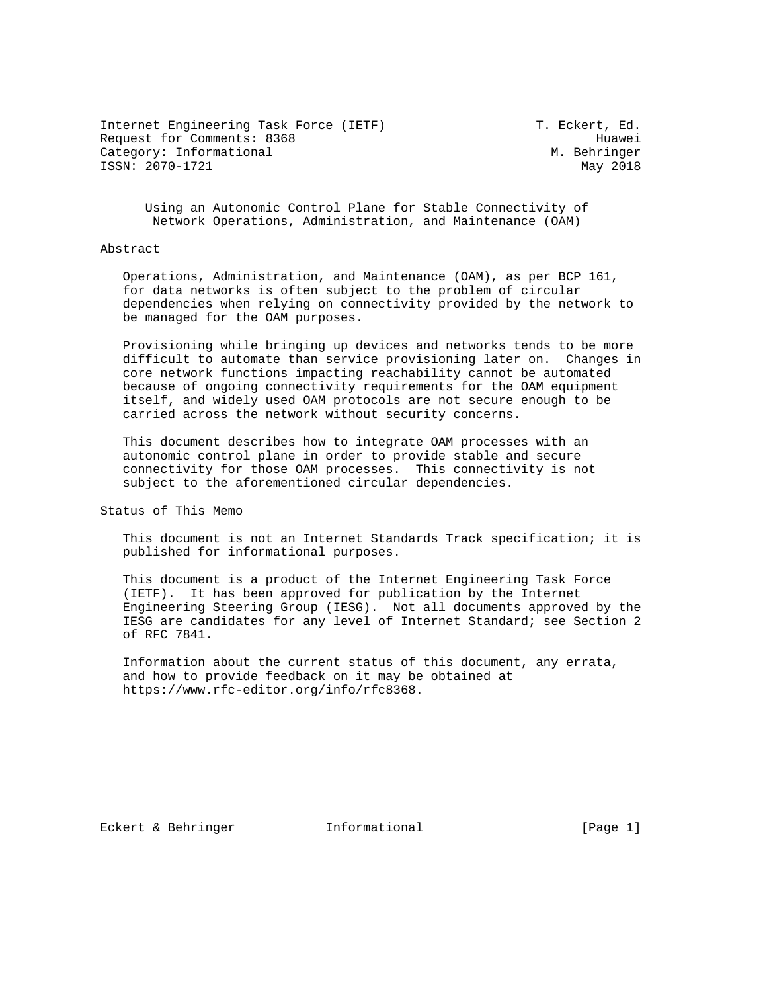Internet Engineering Task Force (IETF) T. Eckert, Ed. Request for Comments: 8368 Huawei Category: Informational M. Behringer ISSN: 2070-1721 May 2018

 Using an Autonomic Control Plane for Stable Connectivity of Network Operations, Administration, and Maintenance (OAM)

### Abstract

 Operations, Administration, and Maintenance (OAM), as per BCP 161, for data networks is often subject to the problem of circular dependencies when relying on connectivity provided by the network to be managed for the OAM purposes.

 Provisioning while bringing up devices and networks tends to be more difficult to automate than service provisioning later on. Changes in core network functions impacting reachability cannot be automated because of ongoing connectivity requirements for the OAM equipment itself, and widely used OAM protocols are not secure enough to be carried across the network without security concerns.

 This document describes how to integrate OAM processes with an autonomic control plane in order to provide stable and secure connectivity for those OAM processes. This connectivity is not subject to the aforementioned circular dependencies.

Status of This Memo

 This document is not an Internet Standards Track specification; it is published for informational purposes.

 This document is a product of the Internet Engineering Task Force (IETF). It has been approved for publication by the Internet Engineering Steering Group (IESG). Not all documents approved by the IESG are candidates for any level of Internet Standard; see Section 2 of RFC 7841.

 Information about the current status of this document, any errata, and how to provide feedback on it may be obtained at https://www.rfc-editor.org/info/rfc8368.

Eckert & Behringer Informational [Page 1]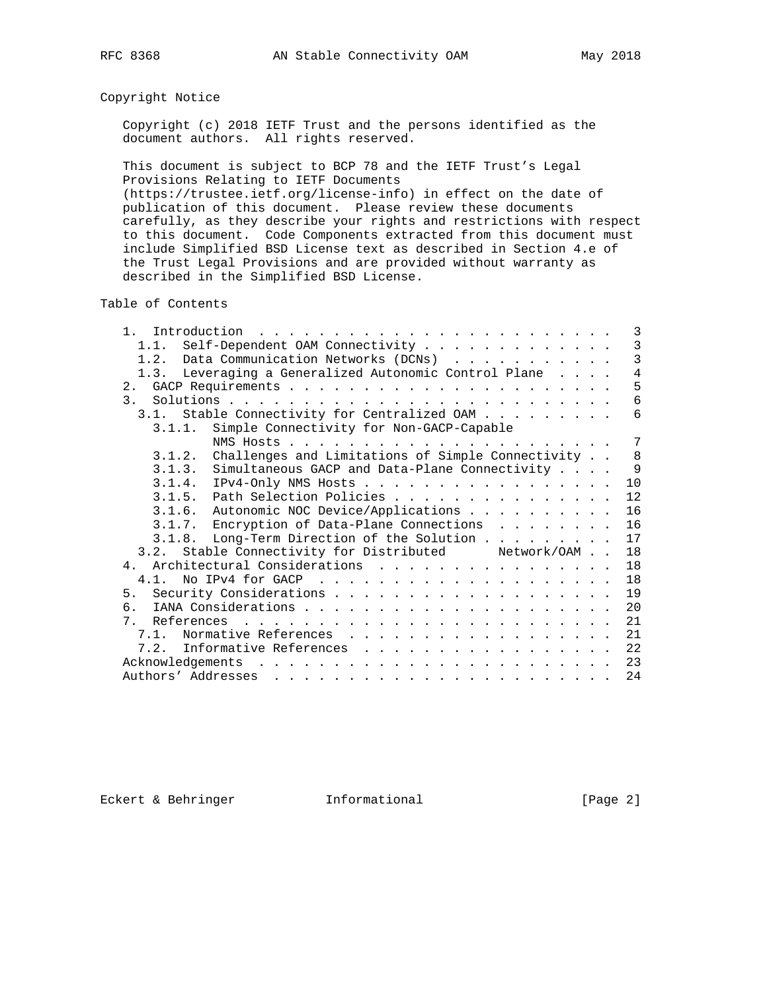# Copyright Notice

 Copyright (c) 2018 IETF Trust and the persons identified as the document authors. All rights reserved.

 This document is subject to BCP 78 and the IETF Trust's Legal Provisions Relating to IETF Documents (https://trustee.ietf.org/license-info) in effect on the date of publication of this document. Please review these documents carefully, as they describe your rights and restrictions with respect

 to this document. Code Components extracted from this document must include Simplified BSD License text as described in Section 4.e of the Trust Legal Provisions and are provided without warranty as described in the Simplified BSD License.

Table of Contents

| 1 <sup>1</sup><br>Introduction                                                                                                                                                                                                                       | 3              |
|------------------------------------------------------------------------------------------------------------------------------------------------------------------------------------------------------------------------------------------------------|----------------|
| Self-Dependent OAM Connectivity<br>1.1.                                                                                                                                                                                                              | 3              |
| Data Communication Networks (DCNs)<br>1.2.                                                                                                                                                                                                           | $\overline{3}$ |
| 1.3. Leveraging a Generalized Autonomic Control Plane                                                                                                                                                                                                | $\overline{4}$ |
|                                                                                                                                                                                                                                                      | 5              |
| 3 <sub>1</sub>                                                                                                                                                                                                                                       | 6              |
| Stable Connectivity for Centralized OAM<br>3.1.                                                                                                                                                                                                      | 6              |
| Simple Connectivity for Non-GACP-Capable<br>3.1.1.                                                                                                                                                                                                   |                |
|                                                                                                                                                                                                                                                      | 7              |
| Challenges and Limitations of Simple Connectivity<br>3.1.2.                                                                                                                                                                                          | 8              |
| 3.1.3. Simultaneous GACP and Data-Plane Connectivity                                                                                                                                                                                                 | 9              |
|                                                                                                                                                                                                                                                      | 10             |
| 3.1.5. Path Selection Policies                                                                                                                                                                                                                       | 12             |
| 3.1.6. Autonomic NOC Device/Applications                                                                                                                                                                                                             | 16             |
| 3.1.7. Encryption of Data-Plane Connections                                                                                                                                                                                                          | 16             |
| 3.1.8. Long-Term Direction of the Solution                                                                                                                                                                                                           | 17             |
| 3.2. Stable Connectivity for Distributed Metwork/OAM                                                                                                                                                                                                 | 18             |
| 4. Architectural Considerations                                                                                                                                                                                                                      | 18             |
| No IPv4 for GACP $\ldots$<br>4.1.                                                                                                                                                                                                                    | 18             |
| 5.                                                                                                                                                                                                                                                   | 19             |
| რ.                                                                                                                                                                                                                                                   | 20             |
| 7                                                                                                                                                                                                                                                    | 21             |
|                                                                                                                                                                                                                                                      | 21             |
| 7.2. Informative References                                                                                                                                                                                                                          | 22             |
| Acknowledgements<br>and the contract of the contract of the contract of the contract of the contract of the contract of the contract of the contract of the contract of the contract of the contract of the contract of the contract of the contra   | 23             |
| Authors' Addresses<br>and a series of the contract of the contract of the contract of the contract of the contract of the contract of the contract of the contract of the contract of the contract of the contract of the contract of the contract o | 24             |

Eckert & Behringer **Informational** [Page 2]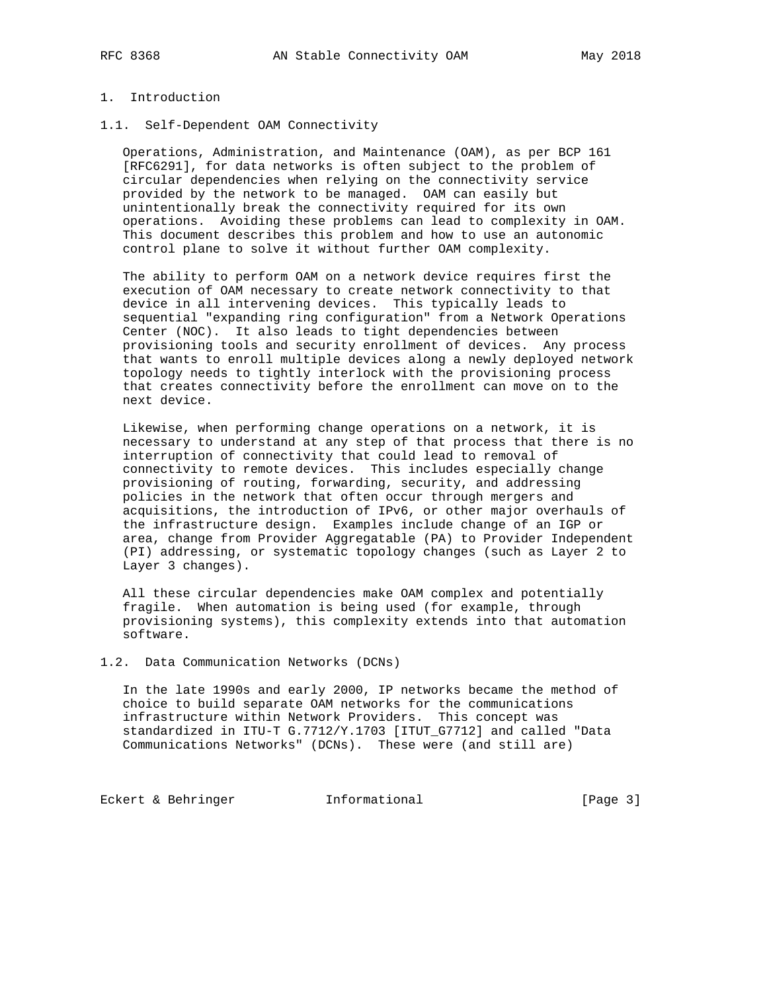# 1. Introduction

1.1. Self-Dependent OAM Connectivity

 Operations, Administration, and Maintenance (OAM), as per BCP 161 [RFC6291], for data networks is often subject to the problem of circular dependencies when relying on the connectivity service provided by the network to be managed. OAM can easily but unintentionally break the connectivity required for its own operations. Avoiding these problems can lead to complexity in OAM. This document describes this problem and how to use an autonomic control plane to solve it without further OAM complexity.

 The ability to perform OAM on a network device requires first the execution of OAM necessary to create network connectivity to that device in all intervening devices. This typically leads to sequential "expanding ring configuration" from a Network Operations Center (NOC). It also leads to tight dependencies between provisioning tools and security enrollment of devices. Any process that wants to enroll multiple devices along a newly deployed network topology needs to tightly interlock with the provisioning process that creates connectivity before the enrollment can move on to the next device.

 Likewise, when performing change operations on a network, it is necessary to understand at any step of that process that there is no interruption of connectivity that could lead to removal of connectivity to remote devices. This includes especially change provisioning of routing, forwarding, security, and addressing policies in the network that often occur through mergers and acquisitions, the introduction of IPv6, or other major overhauls of the infrastructure design. Examples include change of an IGP or area, change from Provider Aggregatable (PA) to Provider Independent (PI) addressing, or systematic topology changes (such as Layer 2 to Layer 3 changes).

 All these circular dependencies make OAM complex and potentially fragile. When automation is being used (for example, through provisioning systems), this complexity extends into that automation software.

1.2. Data Communication Networks (DCNs)

 In the late 1990s and early 2000, IP networks became the method of choice to build separate OAM networks for the communications infrastructure within Network Providers. This concept was standardized in ITU-T G.7712/Y.1703 [ITUT\_G7712] and called "Data Communications Networks" (DCNs). These were (and still are)

Eckert & Behringer **Informational** [Page 3]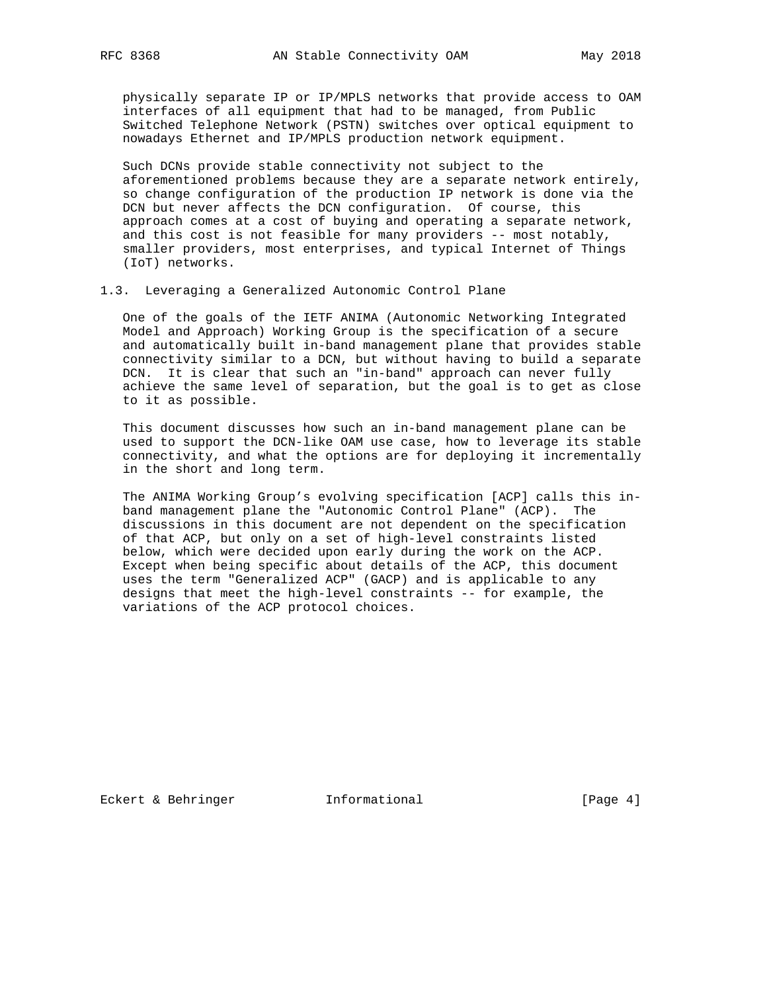physically separate IP or IP/MPLS networks that provide access to OAM interfaces of all equipment that had to be managed, from Public Switched Telephone Network (PSTN) switches over optical equipment to nowadays Ethernet and IP/MPLS production network equipment.

 Such DCNs provide stable connectivity not subject to the aforementioned problems because they are a separate network entirely, so change configuration of the production IP network is done via the DCN but never affects the DCN configuration. Of course, this approach comes at a cost of buying and operating a separate network, and this cost is not feasible for many providers -- most notably, smaller providers, most enterprises, and typical Internet of Things (IoT) networks.

1.3. Leveraging a Generalized Autonomic Control Plane

 One of the goals of the IETF ANIMA (Autonomic Networking Integrated Model and Approach) Working Group is the specification of a secure and automatically built in-band management plane that provides stable connectivity similar to a DCN, but without having to build a separate DCN. It is clear that such an "in-band" approach can never fully achieve the same level of separation, but the goal is to get as close to it as possible.

 This document discusses how such an in-band management plane can be used to support the DCN-like OAM use case, how to leverage its stable connectivity, and what the options are for deploying it incrementally in the short and long term.

 The ANIMA Working Group's evolving specification [ACP] calls this in band management plane the "Autonomic Control Plane" (ACP). The discussions in this document are not dependent on the specification of that ACP, but only on a set of high-level constraints listed below, which were decided upon early during the work on the ACP. Except when being specific about details of the ACP, this document uses the term "Generalized ACP" (GACP) and is applicable to any designs that meet the high-level constraints -- for example, the variations of the ACP protocol choices.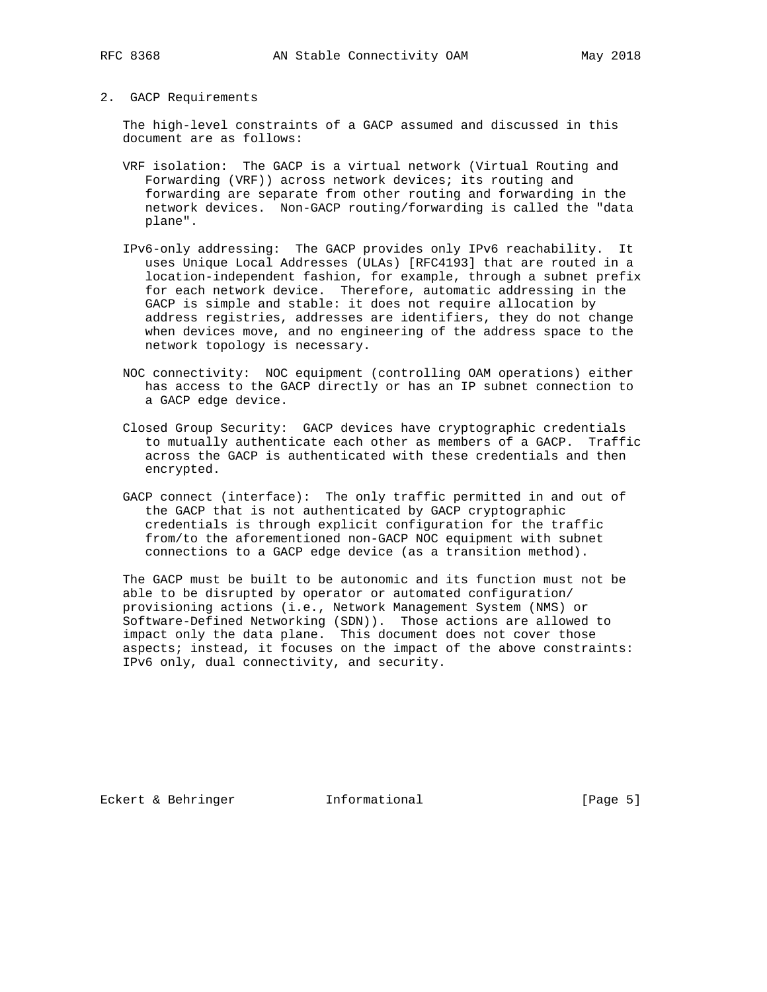2. GACP Requirements

 The high-level constraints of a GACP assumed and discussed in this document are as follows:

- VRF isolation: The GACP is a virtual network (Virtual Routing and Forwarding (VRF)) across network devices; its routing and forwarding are separate from other routing and forwarding in the network devices. Non-GACP routing/forwarding is called the "data plane".
- IPv6-only addressing: The GACP provides only IPv6 reachability. It uses Unique Local Addresses (ULAs) [RFC4193] that are routed in a location-independent fashion, for example, through a subnet prefix for each network device. Therefore, automatic addressing in the GACP is simple and stable: it does not require allocation by address registries, addresses are identifiers, they do not change when devices move, and no engineering of the address space to the network topology is necessary.
- NOC connectivity: NOC equipment (controlling OAM operations) either has access to the GACP directly or has an IP subnet connection to a GACP edge device.
- Closed Group Security: GACP devices have cryptographic credentials to mutually authenticate each other as members of a GACP. Traffic across the GACP is authenticated with these credentials and then encrypted.
- GACP connect (interface): The only traffic permitted in and out of the GACP that is not authenticated by GACP cryptographic credentials is through explicit configuration for the traffic from/to the aforementioned non-GACP NOC equipment with subnet connections to a GACP edge device (as a transition method).

 The GACP must be built to be autonomic and its function must not be able to be disrupted by operator or automated configuration/ provisioning actions (i.e., Network Management System (NMS) or Software-Defined Networking (SDN)). Those actions are allowed to impact only the data plane. This document does not cover those aspects; instead, it focuses on the impact of the above constraints: IPv6 only, dual connectivity, and security.

Eckert & Behringer Informational [Page 5]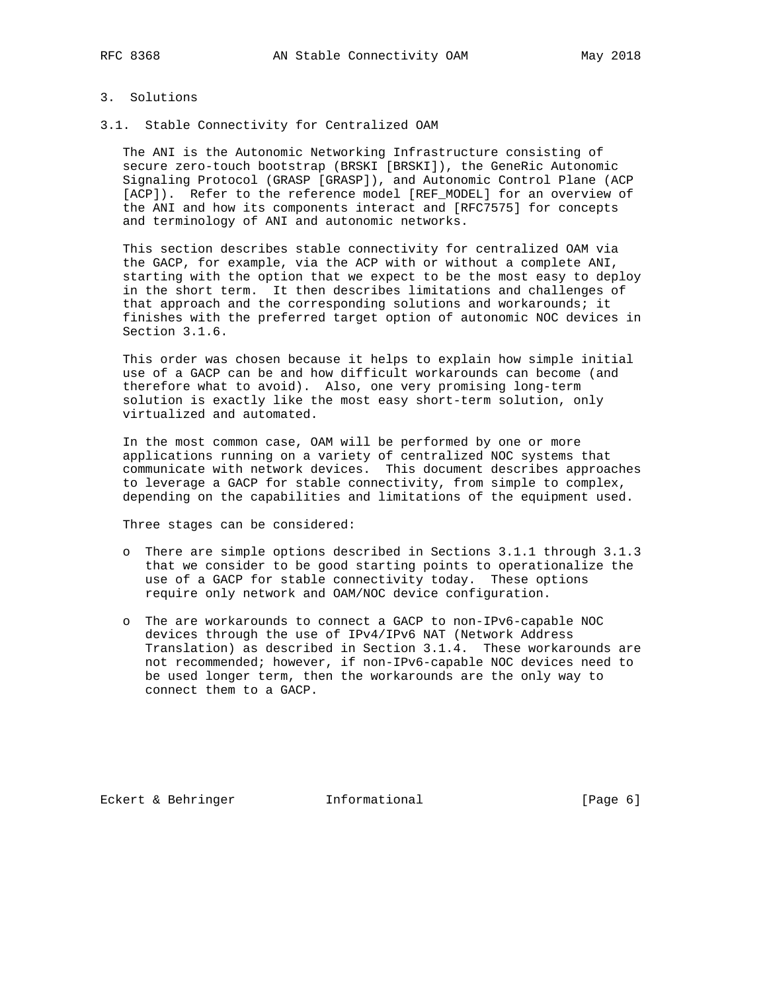## 3. Solutions

3.1. Stable Connectivity for Centralized OAM

 The ANI is the Autonomic Networking Infrastructure consisting of secure zero-touch bootstrap (BRSKI [BRSKI]), the GeneRic Autonomic Signaling Protocol (GRASP [GRASP]), and Autonomic Control Plane (ACP [ACP]). Refer to the reference model [REF\_MODEL] for an overview of the ANI and how its components interact and [RFC7575] for concepts and terminology of ANI and autonomic networks.

 This section describes stable connectivity for centralized OAM via the GACP, for example, via the ACP with or without a complete ANI, starting with the option that we expect to be the most easy to deploy in the short term. It then describes limitations and challenges of that approach and the corresponding solutions and workarounds; it finishes with the preferred target option of autonomic NOC devices in Section 3.1.6.

 This order was chosen because it helps to explain how simple initial use of a GACP can be and how difficult workarounds can become (and therefore what to avoid). Also, one very promising long-term solution is exactly like the most easy short-term solution, only virtualized and automated.

 In the most common case, OAM will be performed by one or more applications running on a variety of centralized NOC systems that communicate with network devices. This document describes approaches to leverage a GACP for stable connectivity, from simple to complex, depending on the capabilities and limitations of the equipment used.

Three stages can be considered:

- o There are simple options described in Sections 3.1.1 through 3.1.3 that we consider to be good starting points to operationalize the use of a GACP for stable connectivity today. These options require only network and OAM/NOC device configuration.
- o The are workarounds to connect a GACP to non-IPv6-capable NOC devices through the use of IPv4/IPv6 NAT (Network Address Translation) as described in Section 3.1.4. These workarounds are not recommended; however, if non-IPv6-capable NOC devices need to be used longer term, then the workarounds are the only way to connect them to a GACP.

Eckert & Behringer **Informational** [Page 6]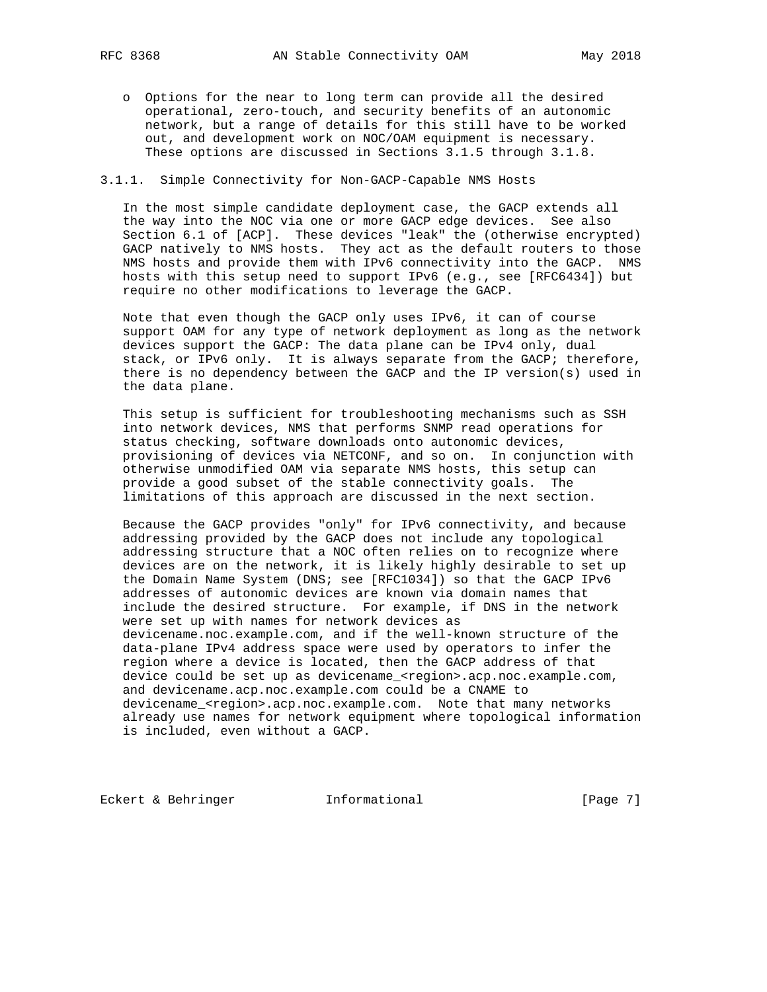o Options for the near to long term can provide all the desired operational, zero-touch, and security benefits of an autonomic network, but a range of details for this still have to be worked out, and development work on NOC/OAM equipment is necessary. These options are discussed in Sections 3.1.5 through 3.1.8.

### 3.1.1. Simple Connectivity for Non-GACP-Capable NMS Hosts

 In the most simple candidate deployment case, the GACP extends all the way into the NOC via one or more GACP edge devices. See also Section 6.1 of [ACP]. These devices "leak" the (otherwise encrypted) GACP natively to NMS hosts. They act as the default routers to those NMS hosts and provide them with IPv6 connectivity into the GACP. NMS hosts with this setup need to support IPv6 (e.g., see [RFC6434]) but require no other modifications to leverage the GACP.

 Note that even though the GACP only uses IPv6, it can of course support OAM for any type of network deployment as long as the network devices support the GACP: The data plane can be IPv4 only, dual stack, or IPv6 only. It is always separate from the GACP; therefore, there is no dependency between the GACP and the IP version(s) used in the data plane.

 This setup is sufficient for troubleshooting mechanisms such as SSH into network devices, NMS that performs SNMP read operations for status checking, software downloads onto autonomic devices, provisioning of devices via NETCONF, and so on. In conjunction with otherwise unmodified OAM via separate NMS hosts, this setup can provide a good subset of the stable connectivity goals. The limitations of this approach are discussed in the next section.

 Because the GACP provides "only" for IPv6 connectivity, and because addressing provided by the GACP does not include any topological addressing structure that a NOC often relies on to recognize where devices are on the network, it is likely highly desirable to set up the Domain Name System (DNS; see [RFC1034]) so that the GACP IPv6 addresses of autonomic devices are known via domain names that include the desired structure. For example, if DNS in the network were set up with names for network devices as devicename.noc.example.com, and if the well-known structure of the data-plane IPv4 address space were used by operators to infer the region where a device is located, then the GACP address of that device could be set up as devicename\_<region>.acp.noc.example.com, and devicename.acp.noc.example.com could be a CNAME to devicename\_<region>.acp.noc.example.com. Note that many networks already use names for network equipment where topological information is included, even without a GACP.

Eckert & Behringer **Informational** [Page 7]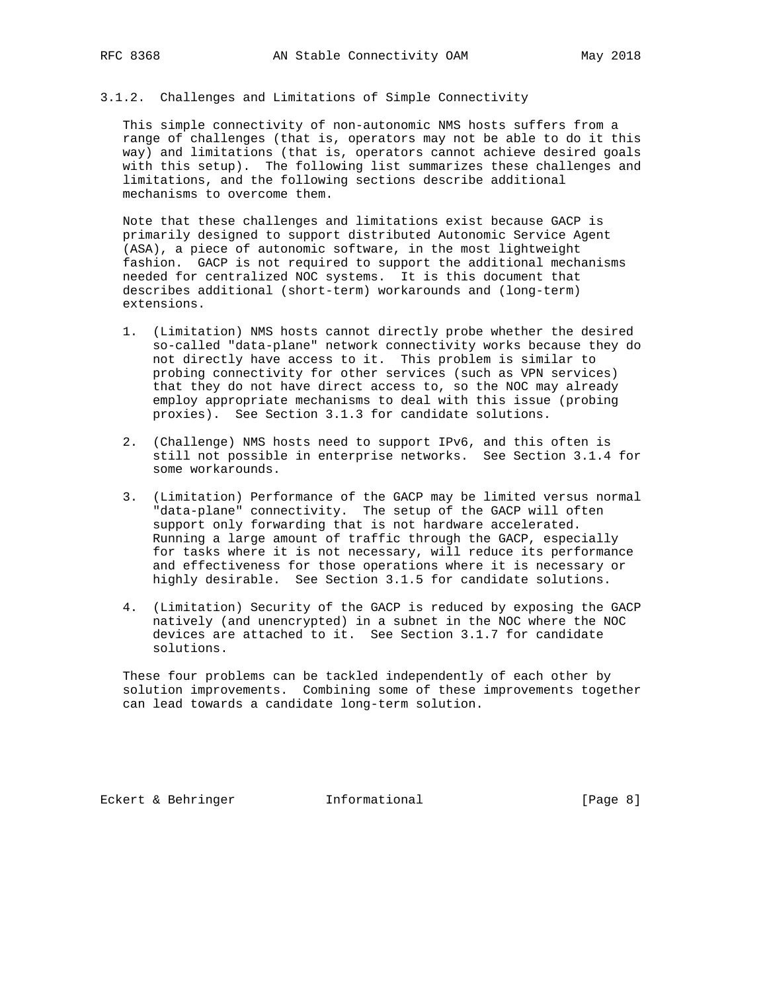## 3.1.2. Challenges and Limitations of Simple Connectivity

 This simple connectivity of non-autonomic NMS hosts suffers from a range of challenges (that is, operators may not be able to do it this way) and limitations (that is, operators cannot achieve desired goals with this setup). The following list summarizes these challenges and limitations, and the following sections describe additional mechanisms to overcome them.

 Note that these challenges and limitations exist because GACP is primarily designed to support distributed Autonomic Service Agent (ASA), a piece of autonomic software, in the most lightweight fashion. GACP is not required to support the additional mechanisms needed for centralized NOC systems. It is this document that describes additional (short-term) workarounds and (long-term) extensions.

- 1. (Limitation) NMS hosts cannot directly probe whether the desired so-called "data-plane" network connectivity works because they do not directly have access to it. This problem is similar to probing connectivity for other services (such as VPN services) that they do not have direct access to, so the NOC may already employ appropriate mechanisms to deal with this issue (probing proxies). See Section 3.1.3 for candidate solutions.
- 2. (Challenge) NMS hosts need to support IPv6, and this often is still not possible in enterprise networks. See Section 3.1.4 for some workarounds.
- 3. (Limitation) Performance of the GACP may be limited versus normal "data-plane" connectivity. The setup of the GACP will often support only forwarding that is not hardware accelerated. Running a large amount of traffic through the GACP, especially for tasks where it is not necessary, will reduce its performance and effectiveness for those operations where it is necessary or highly desirable. See Section 3.1.5 for candidate solutions.
- 4. (Limitation) Security of the GACP is reduced by exposing the GACP natively (and unencrypted) in a subnet in the NOC where the NOC devices are attached to it. See Section 3.1.7 for candidate solutions.

 These four problems can be tackled independently of each other by solution improvements. Combining some of these improvements together can lead towards a candidate long-term solution.

Eckert & Behringer **Informational** [Page 8]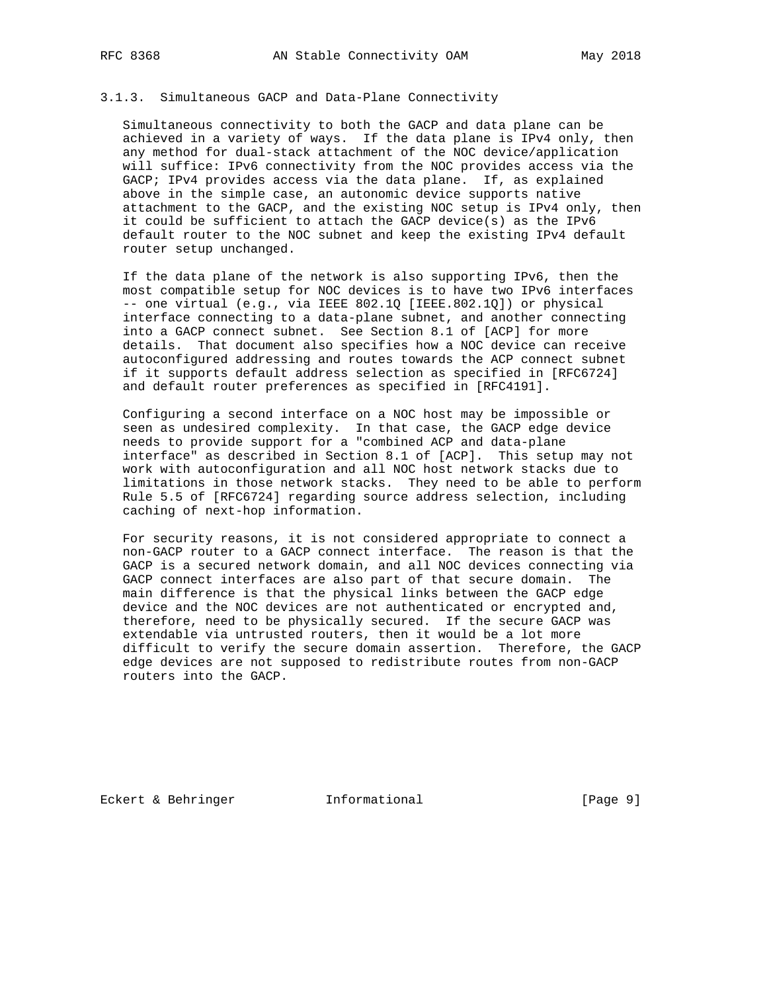# 3.1.3. Simultaneous GACP and Data-Plane Connectivity

 Simultaneous connectivity to both the GACP and data plane can be achieved in a variety of ways. If the data plane is IPv4 only, then any method for dual-stack attachment of the NOC device/application will suffice: IPv6 connectivity from the NOC provides access via the GACP; IPv4 provides access via the data plane. If, as explained above in the simple case, an autonomic device supports native attachment to the GACP, and the existing NOC setup is IPv4 only, then it could be sufficient to attach the GACP device(s) as the IPv6 default router to the NOC subnet and keep the existing IPv4 default router setup unchanged.

 If the data plane of the network is also supporting IPv6, then the most compatible setup for NOC devices is to have two IPv6 interfaces -- one virtual (e.g., via IEEE 802.1Q [IEEE.802.1Q]) or physical interface connecting to a data-plane subnet, and another connecting into a GACP connect subnet. See Section 8.1 of [ACP] for more details. That document also specifies how a NOC device can receive autoconfigured addressing and routes towards the ACP connect subnet if it supports default address selection as specified in [RFC6724] and default router preferences as specified in [RFC4191].

 Configuring a second interface on a NOC host may be impossible or seen as undesired complexity. In that case, the GACP edge device needs to provide support for a "combined ACP and data-plane interface" as described in Section 8.1 of [ACP]. This setup may not work with autoconfiguration and all NOC host network stacks due to limitations in those network stacks. They need to be able to perform Rule 5.5 of [RFC6724] regarding source address selection, including caching of next-hop information.

 For security reasons, it is not considered appropriate to connect a non-GACP router to a GACP connect interface. The reason is that the GACP is a secured network domain, and all NOC devices connecting via GACP connect interfaces are also part of that secure domain. The main difference is that the physical links between the GACP edge device and the NOC devices are not authenticated or encrypted and, therefore, need to be physically secured. If the secure GACP was extendable via untrusted routers, then it would be a lot more difficult to verify the secure domain assertion. Therefore, the GACP edge devices are not supposed to redistribute routes from non-GACP routers into the GACP.

Eckert & Behringer **Informational** [Page 9]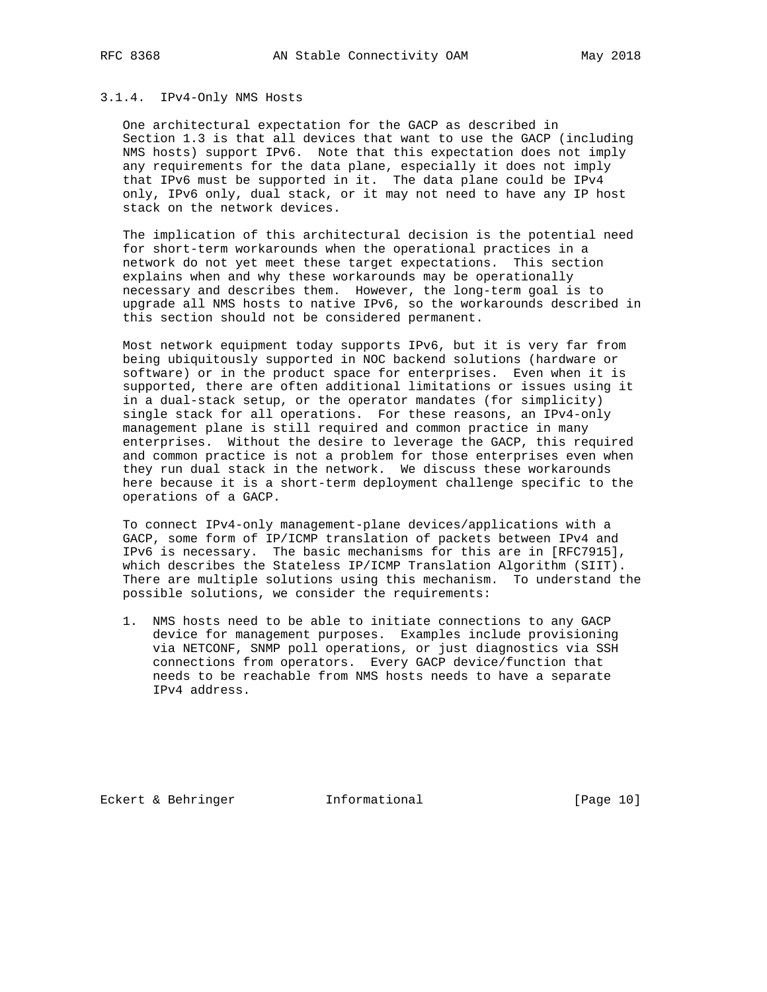### 3.1.4. IPv4-Only NMS Hosts

 One architectural expectation for the GACP as described in Section 1.3 is that all devices that want to use the GACP (including NMS hosts) support IPv6. Note that this expectation does not imply any requirements for the data plane, especially it does not imply that IPv6 must be supported in it. The data plane could be IPv4 only, IPv6 only, dual stack, or it may not need to have any IP host stack on the network devices.

 The implication of this architectural decision is the potential need for short-term workarounds when the operational practices in a network do not yet meet these target expectations. This section explains when and why these workarounds may be operationally necessary and describes them. However, the long-term goal is to upgrade all NMS hosts to native IPv6, so the workarounds described in this section should not be considered permanent.

 Most network equipment today supports IPv6, but it is very far from being ubiquitously supported in NOC backend solutions (hardware or software) or in the product space for enterprises. Even when it is supported, there are often additional limitations or issues using it in a dual-stack setup, or the operator mandates (for simplicity) single stack for all operations. For these reasons, an IPv4-only management plane is still required and common practice in many enterprises. Without the desire to leverage the GACP, this required and common practice is not a problem for those enterprises even when they run dual stack in the network. We discuss these workarounds here because it is a short-term deployment challenge specific to the operations of a GACP.

 To connect IPv4-only management-plane devices/applications with a GACP, some form of IP/ICMP translation of packets between IPv4 and IPv6 is necessary. The basic mechanisms for this are in [RFC7915], which describes the Stateless IP/ICMP Translation Algorithm (SIIT). There are multiple solutions using this mechanism. To understand the possible solutions, we consider the requirements:

 1. NMS hosts need to be able to initiate connections to any GACP device for management purposes. Examples include provisioning via NETCONF, SNMP poll operations, or just diagnostics via SSH connections from operators. Every GACP device/function that needs to be reachable from NMS hosts needs to have a separate IPv4 address.

Eckert & Behringer **Informational** [Page 10]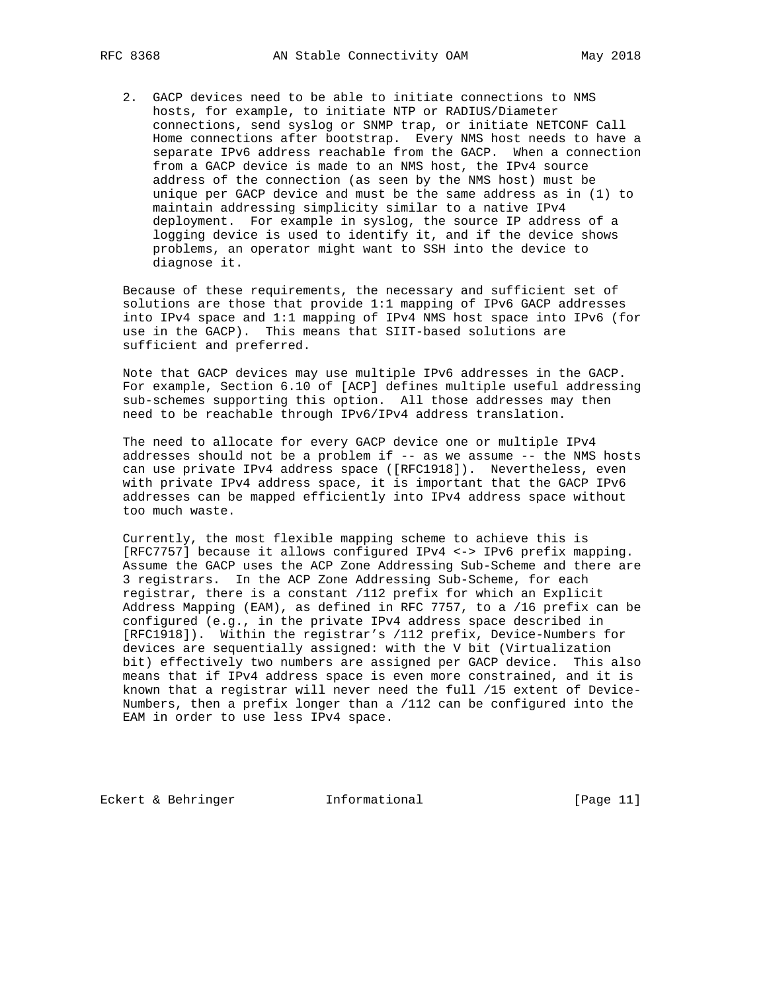2. GACP devices need to be able to initiate connections to NMS hosts, for example, to initiate NTP or RADIUS/Diameter connections, send syslog or SNMP trap, or initiate NETCONF Call Home connections after bootstrap. Every NMS host needs to have a separate IPv6 address reachable from the GACP. When a connection from a GACP device is made to an NMS host, the IPv4 source address of the connection (as seen by the NMS host) must be unique per GACP device and must be the same address as in (1) to maintain addressing simplicity similar to a native IPv4 deployment. For example in syslog, the source IP address of a logging device is used to identify it, and if the device shows problems, an operator might want to SSH into the device to diagnose it.

 Because of these requirements, the necessary and sufficient set of solutions are those that provide 1:1 mapping of IPv6 GACP addresses into IPv4 space and 1:1 mapping of IPv4 NMS host space into IPv6 (for use in the GACP). This means that SIIT-based solutions are sufficient and preferred.

 Note that GACP devices may use multiple IPv6 addresses in the GACP. For example, Section 6.10 of [ACP] defines multiple useful addressing sub-schemes supporting this option. All those addresses may then need to be reachable through IPv6/IPv4 address translation.

 The need to allocate for every GACP device one or multiple IPv4 addresses should not be a problem if -- as we assume -- the NMS hosts can use private IPv4 address space ([RFC1918]). Nevertheless, even with private IPv4 address space, it is important that the GACP IPv6 addresses can be mapped efficiently into IPv4 address space without too much waste.

 Currently, the most flexible mapping scheme to achieve this is [RFC7757] because it allows configured IPv4 <-> IPv6 prefix mapping. Assume the GACP uses the ACP Zone Addressing Sub-Scheme and there are 3 registrars. In the ACP Zone Addressing Sub-Scheme, for each registrar, there is a constant /112 prefix for which an Explicit Address Mapping (EAM), as defined in RFC 7757, to a /16 prefix can be configured (e.g., in the private IPv4 address space described in [RFC1918]). Within the registrar's /112 prefix, Device-Numbers for devices are sequentially assigned: with the V bit (Virtualization bit) effectively two numbers are assigned per GACP device. This also means that if IPv4 address space is even more constrained, and it is known that a registrar will never need the full /15 extent of Device- Numbers, then a prefix longer than a /112 can be configured into the EAM in order to use less IPv4 space.

Eckert & Behringer **Informational** [Page 11]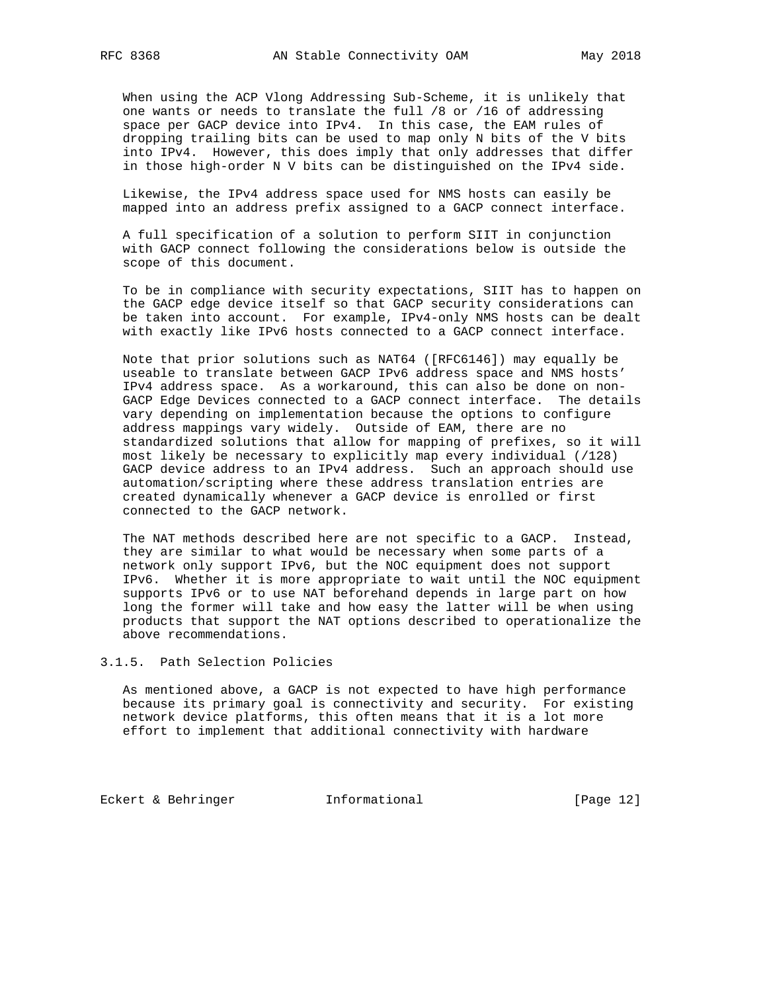When using the ACP Vlong Addressing Sub-Scheme, it is unlikely that one wants or needs to translate the full /8 or /16 of addressing space per GACP device into IPv4. In this case, the EAM rules of dropping trailing bits can be used to map only N bits of the V bits into IPv4. However, this does imply that only addresses that differ in those high-order N V bits can be distinguished on the IPv4 side.

 Likewise, the IPv4 address space used for NMS hosts can easily be mapped into an address prefix assigned to a GACP connect interface.

 A full specification of a solution to perform SIIT in conjunction with GACP connect following the considerations below is outside the scope of this document.

 To be in compliance with security expectations, SIIT has to happen on the GACP edge device itself so that GACP security considerations can be taken into account. For example, IPv4-only NMS hosts can be dealt with exactly like IPv6 hosts connected to a GACP connect interface.

 Note that prior solutions such as NAT64 ([RFC6146]) may equally be useable to translate between GACP IPv6 address space and NMS hosts' IPv4 address space. As a workaround, this can also be done on non- GACP Edge Devices connected to a GACP connect interface. The details vary depending on implementation because the options to configure address mappings vary widely. Outside of EAM, there are no standardized solutions that allow for mapping of prefixes, so it will most likely be necessary to explicitly map every individual (/128) GACP device address to an IPv4 address. Such an approach should use automation/scripting where these address translation entries are created dynamically whenever a GACP device is enrolled or first connected to the GACP network.

 The NAT methods described here are not specific to a GACP. Instead, they are similar to what would be necessary when some parts of a network only support IPv6, but the NOC equipment does not support IPv6. Whether it is more appropriate to wait until the NOC equipment supports IPv6 or to use NAT beforehand depends in large part on how long the former will take and how easy the latter will be when using products that support the NAT options described to operationalize the above recommendations.

### 3.1.5. Path Selection Policies

 As mentioned above, a GACP is not expected to have high performance because its primary goal is connectivity and security. For existing network device platforms, this often means that it is a lot more effort to implement that additional connectivity with hardware

Eckert & Behringer **Informational** [Page 12]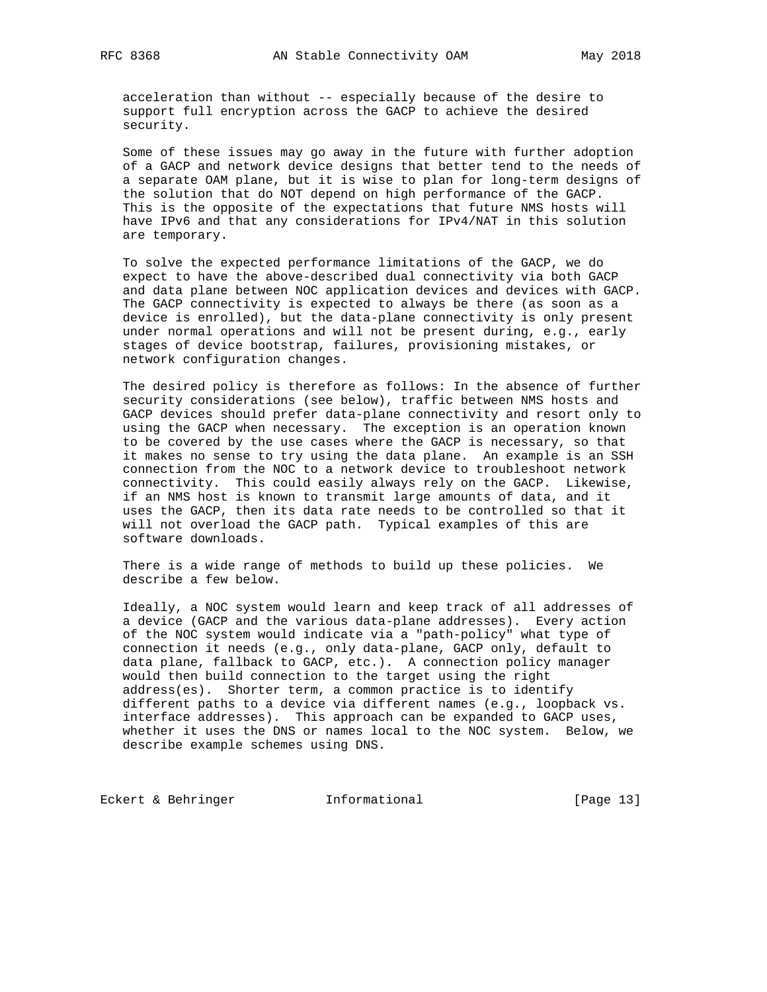acceleration than without -- especially because of the desire to support full encryption across the GACP to achieve the desired security.

 Some of these issues may go away in the future with further adoption of a GACP and network device designs that better tend to the needs of a separate OAM plane, but it is wise to plan for long-term designs of the solution that do NOT depend on high performance of the GACP. This is the opposite of the expectations that future NMS hosts will have IPv6 and that any considerations for IPv4/NAT in this solution are temporary.

 To solve the expected performance limitations of the GACP, we do expect to have the above-described dual connectivity via both GACP and data plane between NOC application devices and devices with GACP. The GACP connectivity is expected to always be there (as soon as a device is enrolled), but the data-plane connectivity is only present under normal operations and will not be present during, e.g., early stages of device bootstrap, failures, provisioning mistakes, or network configuration changes.

 The desired policy is therefore as follows: In the absence of further security considerations (see below), traffic between NMS hosts and GACP devices should prefer data-plane connectivity and resort only to using the GACP when necessary. The exception is an operation known to be covered by the use cases where the GACP is necessary, so that it makes no sense to try using the data plane. An example is an SSH connection from the NOC to a network device to troubleshoot network connectivity. This could easily always rely on the GACP. Likewise, if an NMS host is known to transmit large amounts of data, and it uses the GACP, then its data rate needs to be controlled so that it will not overload the GACP path. Typical examples of this are software downloads.

 There is a wide range of methods to build up these policies. We describe a few below.

 Ideally, a NOC system would learn and keep track of all addresses of a device (GACP and the various data-plane addresses). Every action of the NOC system would indicate via a "path-policy" what type of connection it needs (e.g., only data-plane, GACP only, default to data plane, fallback to GACP, etc.). A connection policy manager would then build connection to the target using the right address(es). Shorter term, a common practice is to identify different paths to a device via different names (e.g., loopback vs. interface addresses). This approach can be expanded to GACP uses, whether it uses the DNS or names local to the NOC system. Below, we describe example schemes using DNS.

Eckert & Behringer **Informational** [Page 13]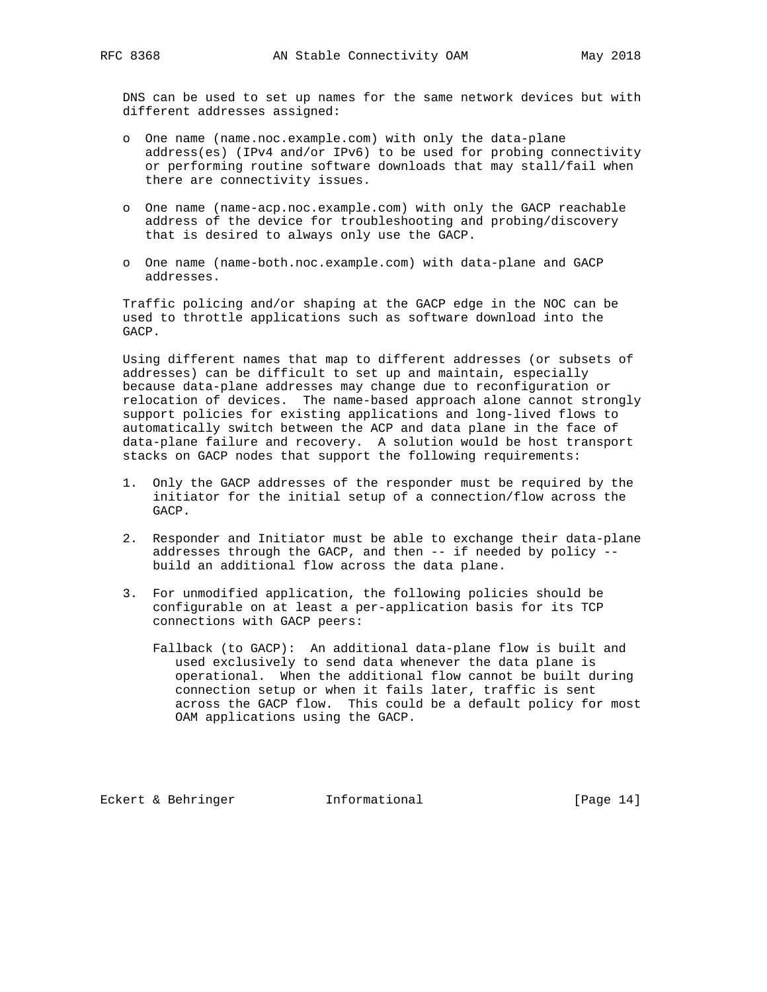DNS can be used to set up names for the same network devices but with different addresses assigned:

- o One name (name.noc.example.com) with only the data-plane address(es) (IPv4 and/or IPv6) to be used for probing connectivity or performing routine software downloads that may stall/fail when there are connectivity issues.
- o One name (name-acp.noc.example.com) with only the GACP reachable address of the device for troubleshooting and probing/discovery that is desired to always only use the GACP.
- o One name (name-both.noc.example.com) with data-plane and GACP addresses.

 Traffic policing and/or shaping at the GACP edge in the NOC can be used to throttle applications such as software download into the GACP.

 Using different names that map to different addresses (or subsets of addresses) can be difficult to set up and maintain, especially because data-plane addresses may change due to reconfiguration or relocation of devices. The name-based approach alone cannot strongly support policies for existing applications and long-lived flows to automatically switch between the ACP and data plane in the face of data-plane failure and recovery. A solution would be host transport stacks on GACP nodes that support the following requirements:

- 1. Only the GACP addresses of the responder must be required by the initiator for the initial setup of a connection/flow across the GACP.
- 2. Responder and Initiator must be able to exchange their data-plane addresses through the GACP, and then -- if needed by policy - build an additional flow across the data plane.
- 3. For unmodified application, the following policies should be configurable on at least a per-application basis for its TCP connections with GACP peers:
	- Fallback (to GACP): An additional data-plane flow is built and used exclusively to send data whenever the data plane is operational. When the additional flow cannot be built during connection setup or when it fails later, traffic is sent across the GACP flow. This could be a default policy for most OAM applications using the GACP.

Eckert & Behringer **Informational** [Page 14]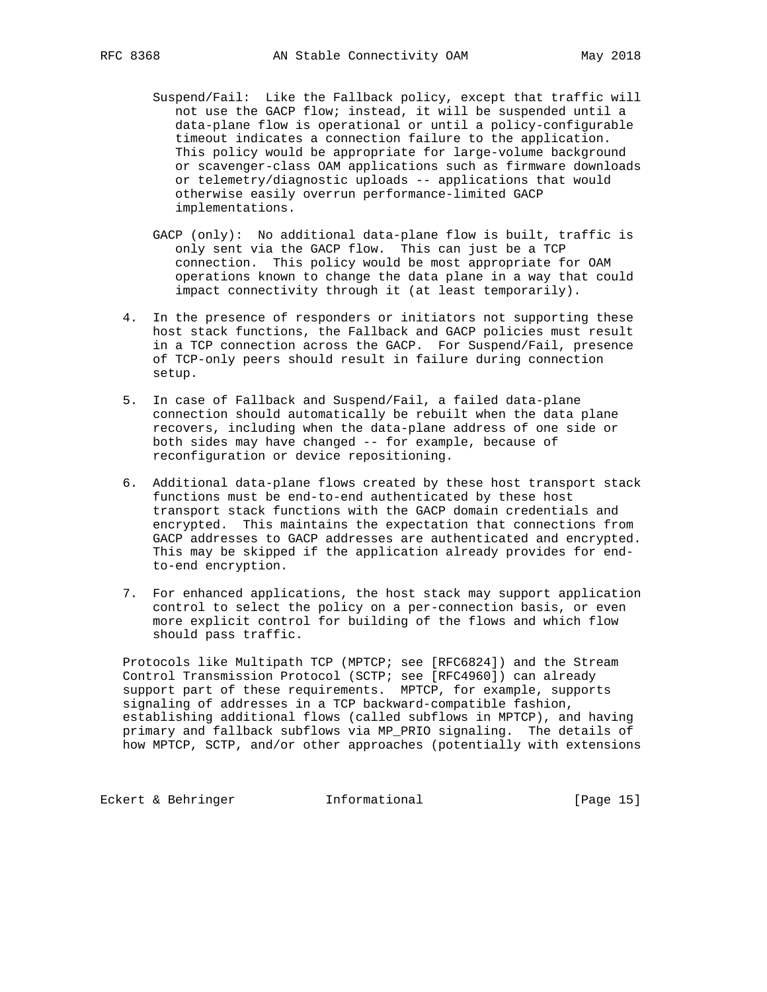- Suspend/Fail: Like the Fallback policy, except that traffic will not use the GACP flow; instead, it will be suspended until a data-plane flow is operational or until a policy-configurable timeout indicates a connection failure to the application. This policy would be appropriate for large-volume background or scavenger-class OAM applications such as firmware downloads or telemetry/diagnostic uploads -- applications that would otherwise easily overrun performance-limited GACP implementations.
- GACP (only): No additional data-plane flow is built, traffic is only sent via the GACP flow. This can just be a TCP connection. This policy would be most appropriate for OAM operations known to change the data plane in a way that could impact connectivity through it (at least temporarily).
- 4. In the presence of responders or initiators not supporting these host stack functions, the Fallback and GACP policies must result in a TCP connection across the GACP. For Suspend/Fail, presence of TCP-only peers should result in failure during connection setup.
- 5. In case of Fallback and Suspend/Fail, a failed data-plane connection should automatically be rebuilt when the data plane recovers, including when the data-plane address of one side or both sides may have changed -- for example, because of reconfiguration or device repositioning.
- 6. Additional data-plane flows created by these host transport stack functions must be end-to-end authenticated by these host transport stack functions with the GACP domain credentials and encrypted. This maintains the expectation that connections from GACP addresses to GACP addresses are authenticated and encrypted. This may be skipped if the application already provides for end to-end encryption.
- 7. For enhanced applications, the host stack may support application control to select the policy on a per-connection basis, or even more explicit control for building of the flows and which flow should pass traffic.

 Protocols like Multipath TCP (MPTCP; see [RFC6824]) and the Stream Control Transmission Protocol (SCTP; see [RFC4960]) can already support part of these requirements. MPTCP, for example, supports signaling of addresses in a TCP backward-compatible fashion, establishing additional flows (called subflows in MPTCP), and having primary and fallback subflows via MP\_PRIO signaling. The details of how MPTCP, SCTP, and/or other approaches (potentially with extensions

Eckert & Behringer **Informational** [Page 15]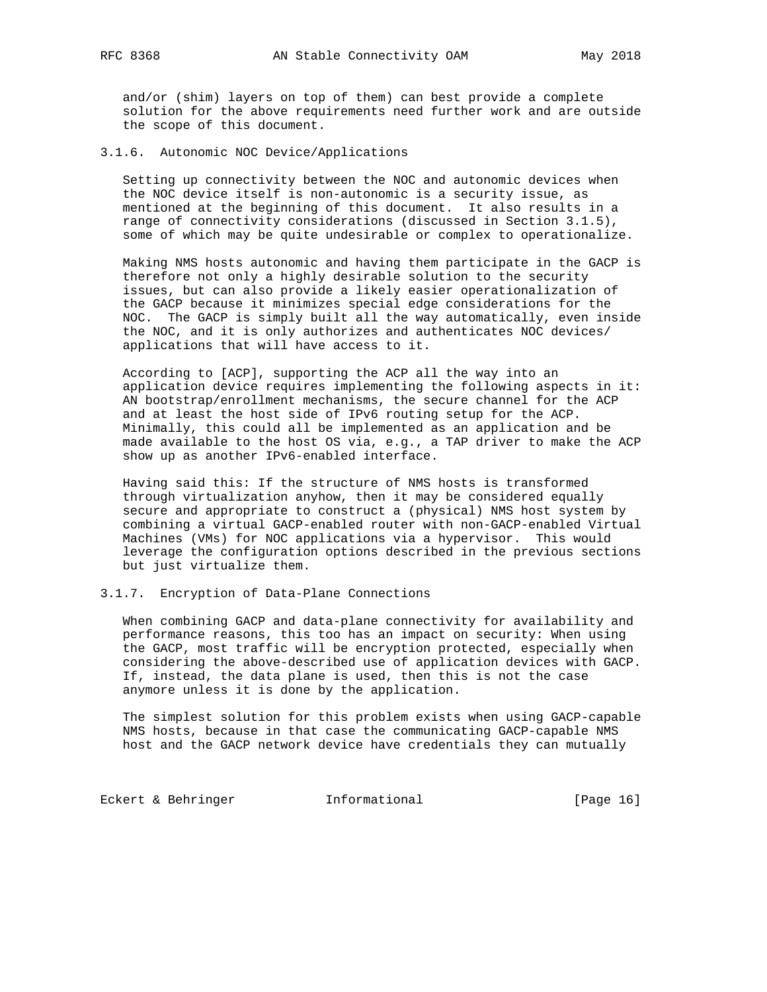and/or (shim) layers on top of them) can best provide a complete solution for the above requirements need further work and are outside the scope of this document.

3.1.6. Autonomic NOC Device/Applications

 Setting up connectivity between the NOC and autonomic devices when the NOC device itself is non-autonomic is a security issue, as mentioned at the beginning of this document. It also results in a range of connectivity considerations (discussed in Section 3.1.5), some of which may be quite undesirable or complex to operationalize.

 Making NMS hosts autonomic and having them participate in the GACP is therefore not only a highly desirable solution to the security issues, but can also provide a likely easier operationalization of the GACP because it minimizes special edge considerations for the NOC. The GACP is simply built all the way automatically, even inside the NOC, and it is only authorizes and authenticates NOC devices/ applications that will have access to it.

 According to [ACP], supporting the ACP all the way into an application device requires implementing the following aspects in it: AN bootstrap/enrollment mechanisms, the secure channel for the ACP and at least the host side of IPv6 routing setup for the ACP. Minimally, this could all be implemented as an application and be made available to the host OS via, e.g., a TAP driver to make the ACP show up as another IPv6-enabled interface.

 Having said this: If the structure of NMS hosts is transformed through virtualization anyhow, then it may be considered equally secure and appropriate to construct a (physical) NMS host system by combining a virtual GACP-enabled router with non-GACP-enabled Virtual Machines (VMs) for NOC applications via a hypervisor. This would leverage the configuration options described in the previous sections but just virtualize them.

3.1.7. Encryption of Data-Plane Connections

 When combining GACP and data-plane connectivity for availability and performance reasons, this too has an impact on security: When using the GACP, most traffic will be encryption protected, especially when considering the above-described use of application devices with GACP. If, instead, the data plane is used, then this is not the case anymore unless it is done by the application.

 The simplest solution for this problem exists when using GACP-capable NMS hosts, because in that case the communicating GACP-capable NMS host and the GACP network device have credentials they can mutually

Eckert & Behringer **Informational** [Page 16]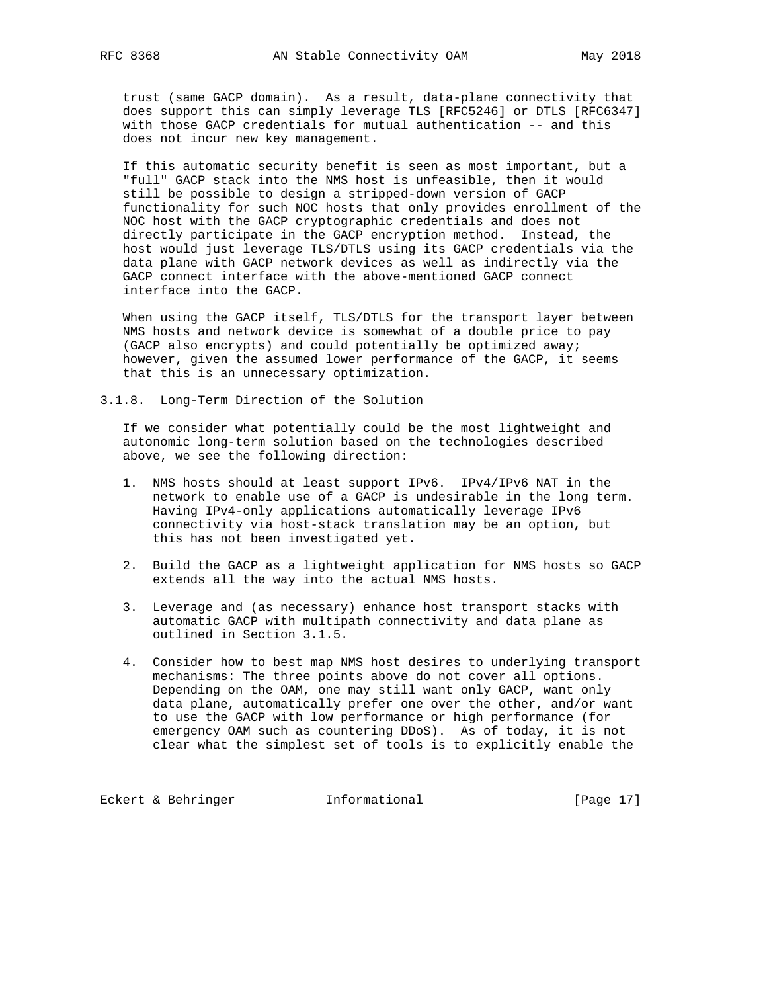trust (same GACP domain). As a result, data-plane connectivity that does support this can simply leverage TLS [RFC5246] or DTLS [RFC6347] with those GACP credentials for mutual authentication -- and this does not incur new key management.

 If this automatic security benefit is seen as most important, but a "full" GACP stack into the NMS host is unfeasible, then it would still be possible to design a stripped-down version of GACP functionality for such NOC hosts that only provides enrollment of the NOC host with the GACP cryptographic credentials and does not directly participate in the GACP encryption method. Instead, the host would just leverage TLS/DTLS using its GACP credentials via the data plane with GACP network devices as well as indirectly via the GACP connect interface with the above-mentioned GACP connect interface into the GACP.

 When using the GACP itself, TLS/DTLS for the transport layer between NMS hosts and network device is somewhat of a double price to pay (GACP also encrypts) and could potentially be optimized away; however, given the assumed lower performance of the GACP, it seems that this is an unnecessary optimization.

3.1.8. Long-Term Direction of the Solution

 If we consider what potentially could be the most lightweight and autonomic long-term solution based on the technologies described above, we see the following direction:

- 1. NMS hosts should at least support IPv6. IPv4/IPv6 NAT in the network to enable use of a GACP is undesirable in the long term. Having IPv4-only applications automatically leverage IPv6 connectivity via host-stack translation may be an option, but this has not been investigated yet.
- 2. Build the GACP as a lightweight application for NMS hosts so GACP extends all the way into the actual NMS hosts.
- 3. Leverage and (as necessary) enhance host transport stacks with automatic GACP with multipath connectivity and data plane as outlined in Section 3.1.5.
- 4. Consider how to best map NMS host desires to underlying transport mechanisms: The three points above do not cover all options. Depending on the OAM, one may still want only GACP, want only data plane, automatically prefer one over the other, and/or want to use the GACP with low performance or high performance (for emergency OAM such as countering DDoS). As of today, it is not clear what the simplest set of tools is to explicitly enable the

Eckert & Behringer **Informational** [Page 17]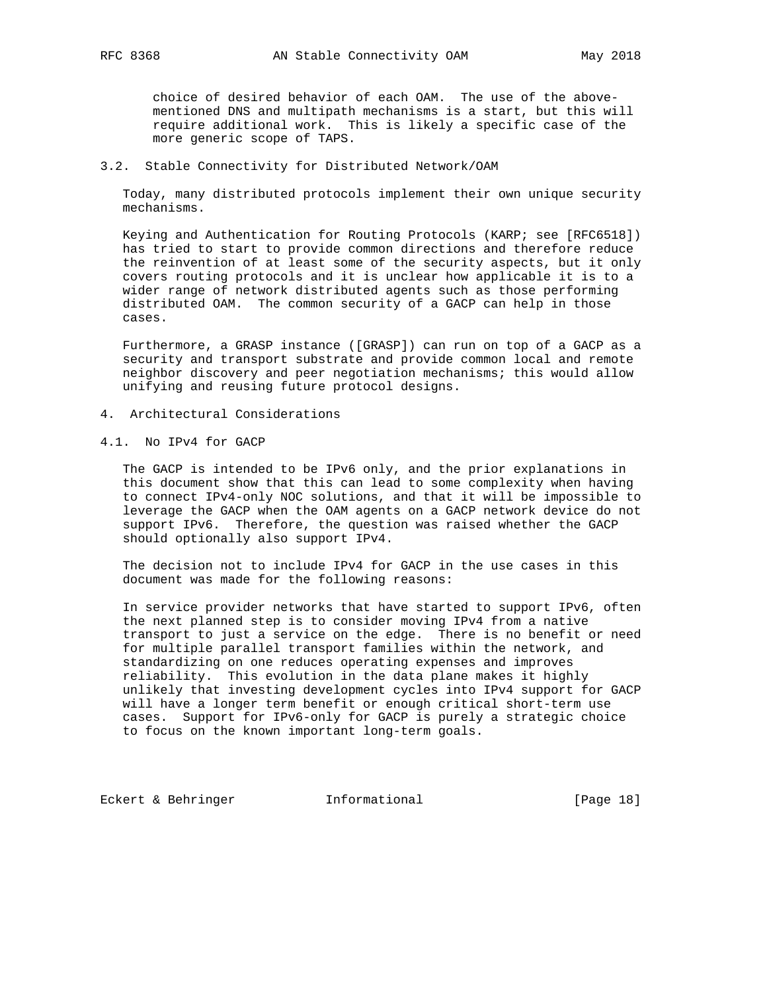choice of desired behavior of each OAM. The use of the above mentioned DNS and multipath mechanisms is a start, but this will require additional work. This is likely a specific case of the more generic scope of TAPS.

### 3.2. Stable Connectivity for Distributed Network/OAM

 Today, many distributed protocols implement their own unique security mechanisms.

 Keying and Authentication for Routing Protocols (KARP; see [RFC6518]) has tried to start to provide common directions and therefore reduce the reinvention of at least some of the security aspects, but it only covers routing protocols and it is unclear how applicable it is to a wider range of network distributed agents such as those performing distributed OAM. The common security of a GACP can help in those cases.

 Furthermore, a GRASP instance ([GRASP]) can run on top of a GACP as a security and transport substrate and provide common local and remote neighbor discovery and peer negotiation mechanisms; this would allow unifying and reusing future protocol designs.

- 4. Architectural Considerations
- 4.1. No IPv4 for GACP

 The GACP is intended to be IPv6 only, and the prior explanations in this document show that this can lead to some complexity when having to connect IPv4-only NOC solutions, and that it will be impossible to leverage the GACP when the OAM agents on a GACP network device do not support IPv6. Therefore, the question was raised whether the GACP should optionally also support IPv4.

 The decision not to include IPv4 for GACP in the use cases in this document was made for the following reasons:

 In service provider networks that have started to support IPv6, often the next planned step is to consider moving IPv4 from a native transport to just a service on the edge. There is no benefit or need for multiple parallel transport families within the network, and standardizing on one reduces operating expenses and improves reliability. This evolution in the data plane makes it highly unlikely that investing development cycles into IPv4 support for GACP will have a longer term benefit or enough critical short-term use cases. Support for IPv6-only for GACP is purely a strategic choice to focus on the known important long-term goals.

Eckert & Behringer **Informational** [Page 18]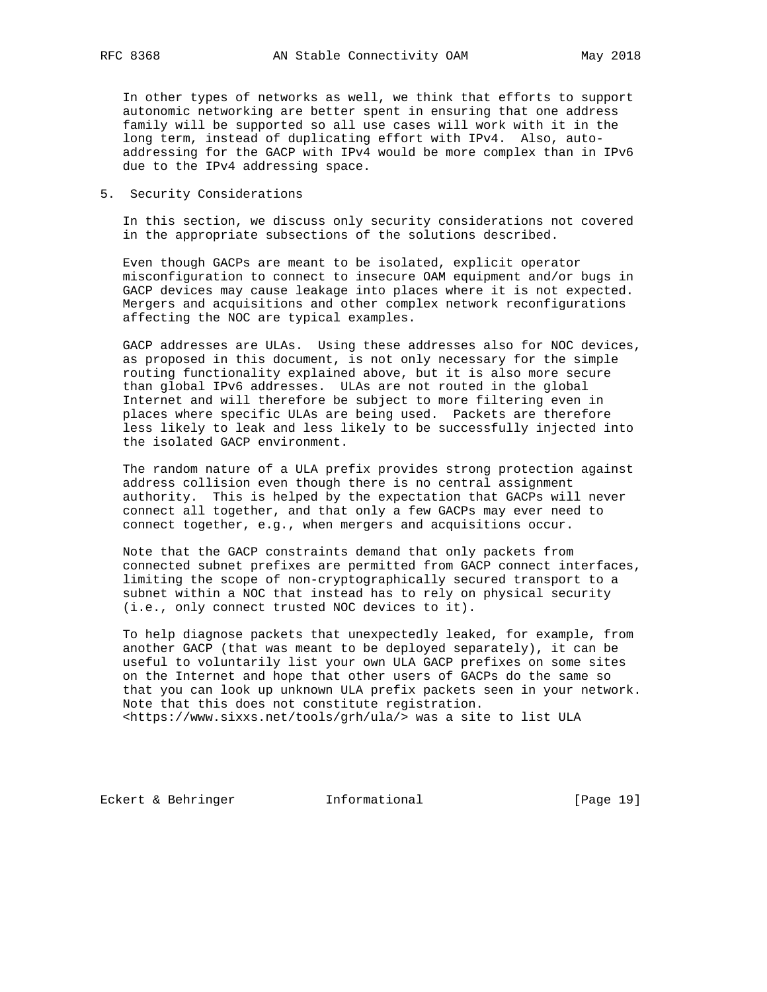In other types of networks as well, we think that efforts to support autonomic networking are better spent in ensuring that one address family will be supported so all use cases will work with it in the long term, instead of duplicating effort with IPv4. Also, auto addressing for the GACP with IPv4 would be more complex than in IPv6 due to the IPv4 addressing space.

5. Security Considerations

 In this section, we discuss only security considerations not covered in the appropriate subsections of the solutions described.

 Even though GACPs are meant to be isolated, explicit operator misconfiguration to connect to insecure OAM equipment and/or bugs in GACP devices may cause leakage into places where it is not expected. Mergers and acquisitions and other complex network reconfigurations affecting the NOC are typical examples.

 GACP addresses are ULAs. Using these addresses also for NOC devices, as proposed in this document, is not only necessary for the simple routing functionality explained above, but it is also more secure than global IPv6 addresses. ULAs are not routed in the global Internet and will therefore be subject to more filtering even in places where specific ULAs are being used. Packets are therefore less likely to leak and less likely to be successfully injected into the isolated GACP environment.

 The random nature of a ULA prefix provides strong protection against address collision even though there is no central assignment authority. This is helped by the expectation that GACPs will never connect all together, and that only a few GACPs may ever need to connect together, e.g., when mergers and acquisitions occur.

 Note that the GACP constraints demand that only packets from connected subnet prefixes are permitted from GACP connect interfaces, limiting the scope of non-cryptographically secured transport to a subnet within a NOC that instead has to rely on physical security (i.e., only connect trusted NOC devices to it).

 To help diagnose packets that unexpectedly leaked, for example, from another GACP (that was meant to be deployed separately), it can be useful to voluntarily list your own ULA GACP prefixes on some sites on the Internet and hope that other users of GACPs do the same so that you can look up unknown ULA prefix packets seen in your network. Note that this does not constitute registration. <https://www.sixxs.net/tools/grh/ula/> was a site to list ULA

Eckert & Behringer **Informational** [Page 19]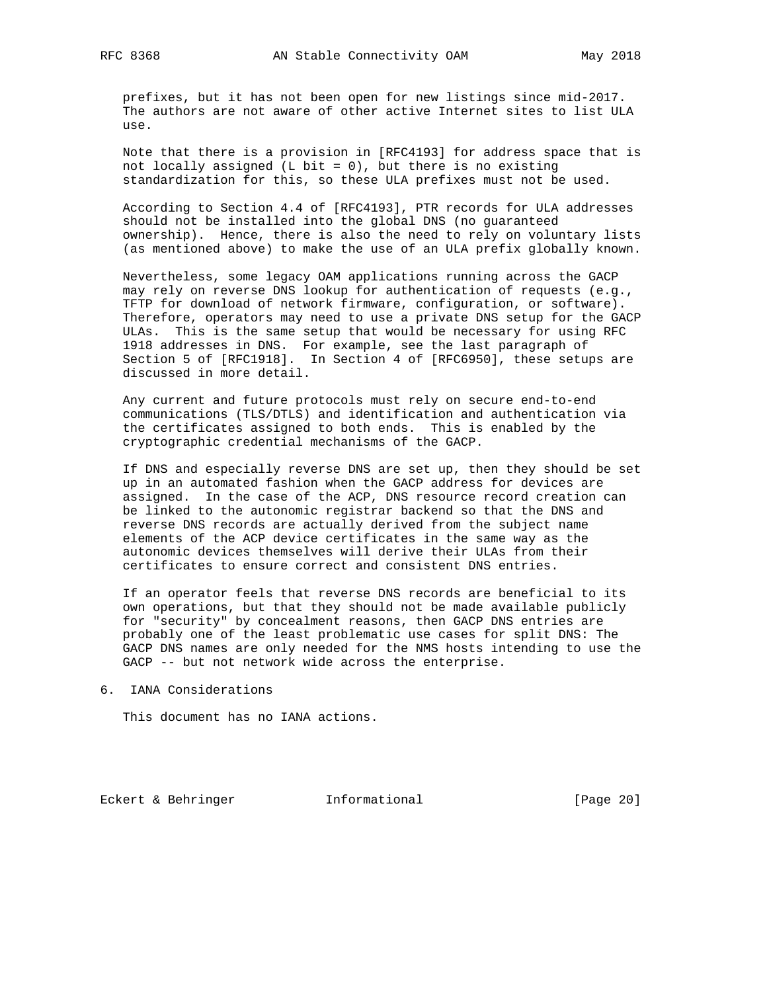prefixes, but it has not been open for new listings since mid-2017. The authors are not aware of other active Internet sites to list ULA use.

 Note that there is a provision in [RFC4193] for address space that is not locally assigned (L bit =  $0$ ), but there is no existing standardization for this, so these ULA prefixes must not be used.

 According to Section 4.4 of [RFC4193], PTR records for ULA addresses should not be installed into the global DNS (no guaranteed ownership). Hence, there is also the need to rely on voluntary lists (as mentioned above) to make the use of an ULA prefix globally known.

 Nevertheless, some legacy OAM applications running across the GACP may rely on reverse DNS lookup for authentication of requests (e.g., TFTP for download of network firmware, configuration, or software). Therefore, operators may need to use a private DNS setup for the GACP ULAs. This is the same setup that would be necessary for using RFC 1918 addresses in DNS. For example, see the last paragraph of Section 5 of [RFC1918]. In Section 4 of [RFC6950], these setups are discussed in more detail.

 Any current and future protocols must rely on secure end-to-end communications (TLS/DTLS) and identification and authentication via the certificates assigned to both ends. This is enabled by the cryptographic credential mechanisms of the GACP.

 If DNS and especially reverse DNS are set up, then they should be set up in an automated fashion when the GACP address for devices are assigned. In the case of the ACP, DNS resource record creation can be linked to the autonomic registrar backend so that the DNS and reverse DNS records are actually derived from the subject name elements of the ACP device certificates in the same way as the autonomic devices themselves will derive their ULAs from their certificates to ensure correct and consistent DNS entries.

 If an operator feels that reverse DNS records are beneficial to its own operations, but that they should not be made available publicly for "security" by concealment reasons, then GACP DNS entries are probably one of the least problematic use cases for split DNS: The GACP DNS names are only needed for the NMS hosts intending to use the GACP -- but not network wide across the enterprise.

6. IANA Considerations

This document has no IANA actions.

Eckert & Behringer **Informational** [Page 20]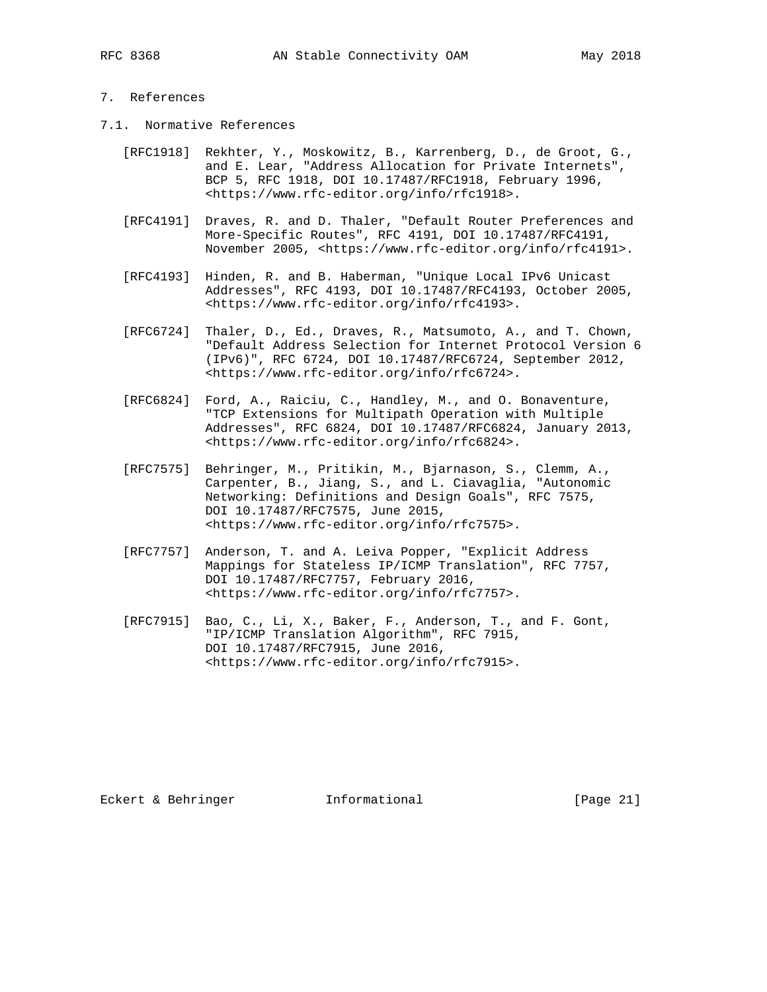## 7. References

- 7.1. Normative References
	- [RFC1918] Rekhter, Y., Moskowitz, B., Karrenberg, D., de Groot, G., and E. Lear, "Address Allocation for Private Internets", BCP 5, RFC 1918, DOI 10.17487/RFC1918, February 1996, <https://www.rfc-editor.org/info/rfc1918>.
	- [RFC4191] Draves, R. and D. Thaler, "Default Router Preferences and More-Specific Routes", RFC 4191, DOI 10.17487/RFC4191, November 2005, <https://www.rfc-editor.org/info/rfc4191>.
	- [RFC4193] Hinden, R. and B. Haberman, "Unique Local IPv6 Unicast Addresses", RFC 4193, DOI 10.17487/RFC4193, October 2005, <https://www.rfc-editor.org/info/rfc4193>.
	- [RFC6724] Thaler, D., Ed., Draves, R., Matsumoto, A., and T. Chown, "Default Address Selection for Internet Protocol Version 6 (IPv6)", RFC 6724, DOI 10.17487/RFC6724, September 2012, <https://www.rfc-editor.org/info/rfc6724>.
	- [RFC6824] Ford, A., Raiciu, C., Handley, M., and O. Bonaventure, "TCP Extensions for Multipath Operation with Multiple Addresses", RFC 6824, DOI 10.17487/RFC6824, January 2013, <https://www.rfc-editor.org/info/rfc6824>.
	- [RFC7575] Behringer, M., Pritikin, M., Bjarnason, S., Clemm, A., Carpenter, B., Jiang, S., and L. Ciavaglia, "Autonomic Networking: Definitions and Design Goals", RFC 7575, DOI 10.17487/RFC7575, June 2015, <https://www.rfc-editor.org/info/rfc7575>.
	- [RFC7757] Anderson, T. and A. Leiva Popper, "Explicit Address Mappings for Stateless IP/ICMP Translation", RFC 7757, DOI 10.17487/RFC7757, February 2016, <https://www.rfc-editor.org/info/rfc7757>.
	- [RFC7915] Bao, C., Li, X., Baker, F., Anderson, T., and F. Gont, "IP/ICMP Translation Algorithm", RFC 7915, DOI 10.17487/RFC7915, June 2016, <https://www.rfc-editor.org/info/rfc7915>.

Eckert & Behringer **Informational** [Page 21]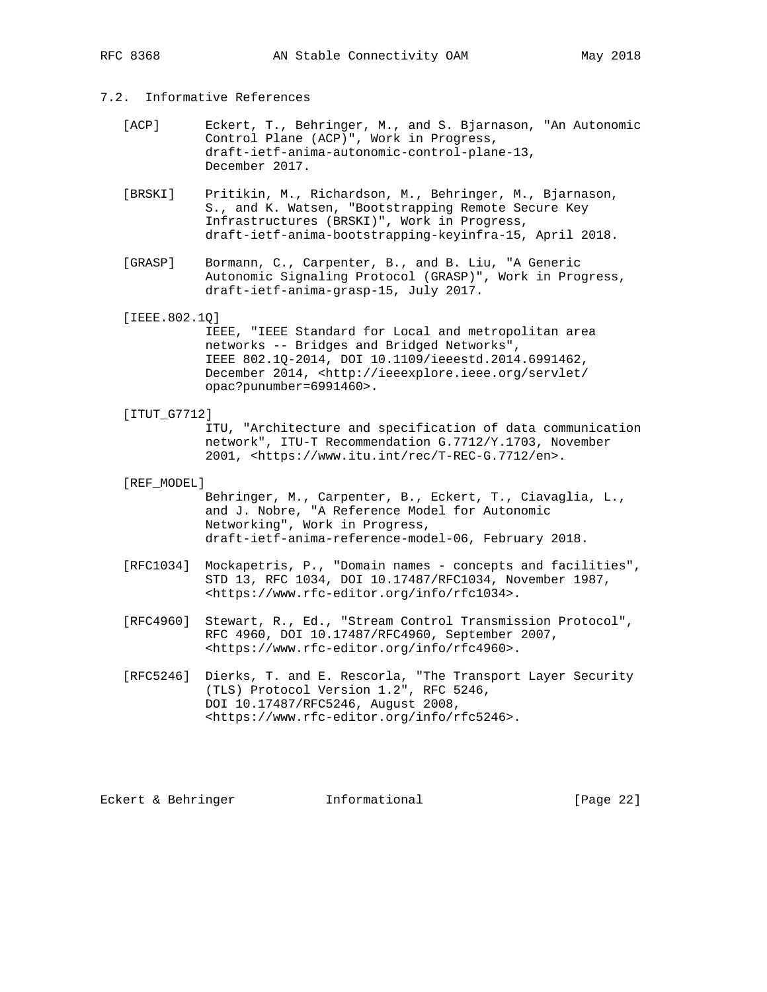# 7.2. Informative References

- [ACP] Eckert, T., Behringer, M., and S. Bjarnason, "An Autonomic Control Plane (ACP)", Work in Progress, draft-ietf-anima-autonomic-control-plane-13, December 2017.
- [BRSKI] Pritikin, M., Richardson, M., Behringer, M., Bjarnason, S., and K. Watsen, "Bootstrapping Remote Secure Key Infrastructures (BRSKI)", Work in Progress, draft-ietf-anima-bootstrapping-keyinfra-15, April 2018.
- [GRASP] Bormann, C., Carpenter, B., and B. Liu, "A Generic Autonomic Signaling Protocol (GRASP)", Work in Progress, draft-ietf-anima-grasp-15, July 2017.
- [IEEE.802.1Q]

 IEEE, "IEEE Standard for Local and metropolitan area networks -- Bridges and Bridged Networks", IEEE 802.1Q-2014, DOI 10.1109/ieeestd.2014.6991462, December 2014, <http://ieeexplore.ieee.org/servlet/ opac?punumber=6991460>.

[ITUT\_G7712]

 ITU, "Architecture and specification of data communication network", ITU-T Recommendation G.7712/Y.1703, November 2001, <https://www.itu.int/rec/T-REC-G.7712/en>.

[REF\_MODEL]

 Behringer, M., Carpenter, B., Eckert, T., Ciavaglia, L., and J. Nobre, "A Reference Model for Autonomic Networking", Work in Progress, draft-ietf-anima-reference-model-06, February 2018.

- [RFC1034] Mockapetris, P., "Domain names concepts and facilities", STD 13, RFC 1034, DOI 10.17487/RFC1034, November 1987, <https://www.rfc-editor.org/info/rfc1034>.
- [RFC4960] Stewart, R., Ed., "Stream Control Transmission Protocol", RFC 4960, DOI 10.17487/RFC4960, September 2007, <https://www.rfc-editor.org/info/rfc4960>.
- [RFC5246] Dierks, T. and E. Rescorla, "The Transport Layer Security (TLS) Protocol Version 1.2", RFC 5246, DOI 10.17487/RFC5246, August 2008, <https://www.rfc-editor.org/info/rfc5246>.

Eckert & Behringer **Informational** [Page 22]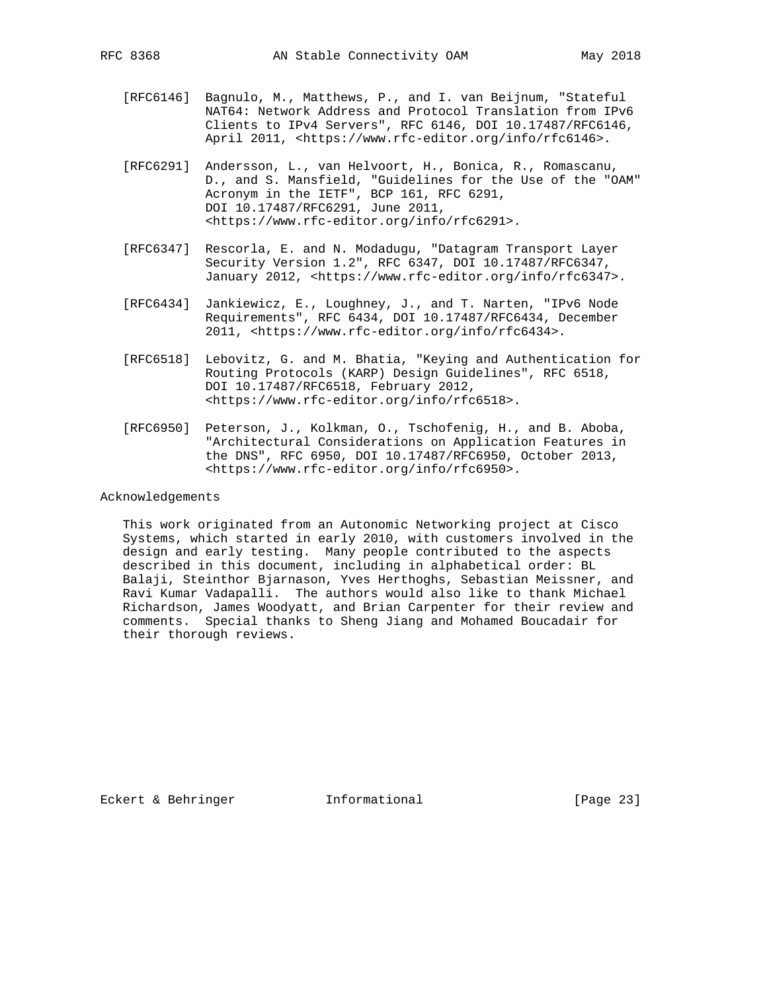- [RFC6146] Bagnulo, M., Matthews, P., and I. van Beijnum, "Stateful NAT64: Network Address and Protocol Translation from IPv6 Clients to IPv4 Servers", RFC 6146, DOI 10.17487/RFC6146, April 2011, <https://www.rfc-editor.org/info/rfc6146>.
- [RFC6291] Andersson, L., van Helvoort, H., Bonica, R., Romascanu, D., and S. Mansfield, "Guidelines for the Use of the "OAM" Acronym in the IETF", BCP 161, RFC 6291, DOI 10.17487/RFC6291, June 2011, <https://www.rfc-editor.org/info/rfc6291>.
- [RFC6347] Rescorla, E. and N. Modadugu, "Datagram Transport Layer Security Version 1.2", RFC 6347, DOI 10.17487/RFC6347, January 2012, <https://www.rfc-editor.org/info/rfc6347>.
- [RFC6434] Jankiewicz, E., Loughney, J., and T. Narten, "IPv6 Node Requirements", RFC 6434, DOI 10.17487/RFC6434, December 2011, <https://www.rfc-editor.org/info/rfc6434>.
- [RFC6518] Lebovitz, G. and M. Bhatia, "Keying and Authentication for Routing Protocols (KARP) Design Guidelines", RFC 6518, DOI 10.17487/RFC6518, February 2012, <https://www.rfc-editor.org/info/rfc6518>.
- [RFC6950] Peterson, J., Kolkman, O., Tschofenig, H., and B. Aboba, "Architectural Considerations on Application Features in the DNS", RFC 6950, DOI 10.17487/RFC6950, October 2013, <https://www.rfc-editor.org/info/rfc6950>.

#### Acknowledgements

 This work originated from an Autonomic Networking project at Cisco Systems, which started in early 2010, with customers involved in the design and early testing. Many people contributed to the aspects described in this document, including in alphabetical order: BL Balaji, Steinthor Bjarnason, Yves Herthoghs, Sebastian Meissner, and Ravi Kumar Vadapalli. The authors would also like to thank Michael Richardson, James Woodyatt, and Brian Carpenter for their review and comments. Special thanks to Sheng Jiang and Mohamed Boucadair for their thorough reviews.

Eckert & Behringer **Informational** [Page 23]